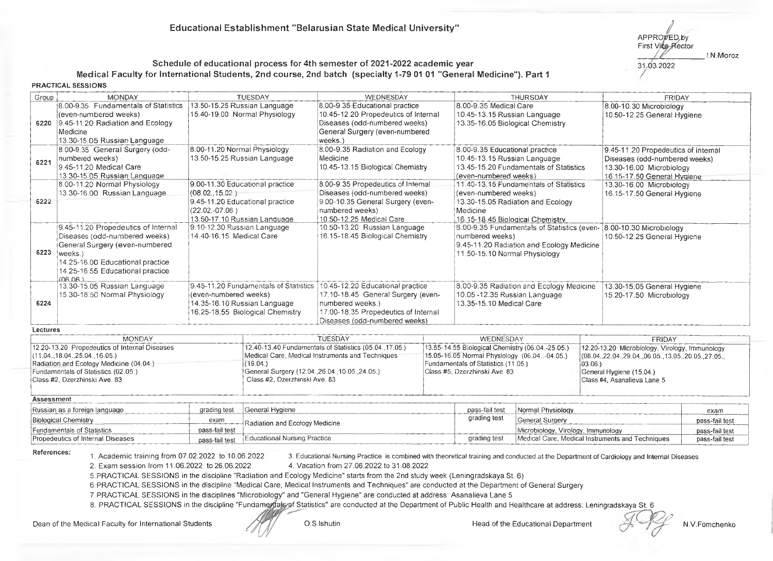APPROVED by **First Vice-Rector** 31.03.2022 I.N.Moroz

## **Schedule of educational process for 4th semester of 2021-2022 academic year Medical Faculty for Internationa! Students, 2nd course, 2nd batch (specialty 1-79 01 01 "General Medicine"). Part 1 PRACTICAL SESSIONS**

| Group                                         | <b>MONDAY</b>                                                                                                                                                                                                         |                                                         | <b>TUESDAY</b>                                                                                            | WEDNESDAY                                                                                                                                                           |              |                                                                                                                                                                                       | THURSDAY                                                                                 |                                                                                                                                 | <b>FRIDAY</b>                                                                                                                                                            |                |
|-----------------------------------------------|-----------------------------------------------------------------------------------------------------------------------------------------------------------------------------------------------------------------------|---------------------------------------------------------|-----------------------------------------------------------------------------------------------------------|---------------------------------------------------------------------------------------------------------------------------------------------------------------------|--------------|---------------------------------------------------------------------------------------------------------------------------------------------------------------------------------------|------------------------------------------------------------------------------------------|---------------------------------------------------------------------------------------------------------------------------------|--------------------------------------------------------------------------------------------------------------------------------------------------------------------------|----------------|
|                                               | 8.00-9.35 Fundamentals of Statistics<br>(even-numbered weeks)<br>6220 9.45-11.20 Radiation and Ecology<br>Medicine<br>13.30-15.05 Russian Language                                                                    |                                                         | 13.50-15.25 Russian Language<br>15.40-19.00 Normal Physiology                                             | 8.00-9.35 Educational practice<br>10.45-12.20 Propedeutics of Internal<br>Diseases (odd-numbered weeks)<br>General Surgery (even-numbered<br>weeks.)                |              | 8.00-9.35 Medical Care<br>10.45-13.15 Russian Language<br>13.35-16.05 Biological Chemistry                                                                                            |                                                                                          |                                                                                                                                 | 8.00-10.30 Microbiology<br>10.50-12.25 General Hygiene                                                                                                                   |                |
| 6221                                          | 8.00-9.35 General Surgery (odd-<br>numbered weeks)<br>9.45-11.20 Medical Care<br>13.30-15.05 Russian Language                                                                                                         | 8.00-11.20 Normal Physiology                            | 13.50-15.25 Russian Language                                                                              | 8.00-9.35 Radiation and Ecology<br>Medicine<br>10.45-13.15 Biological Chemistry                                                                                     |              | 8.00-9.35 Educational practice<br>10.45-13.15 Russian Language<br>13.45-15.20 Fundamentals of Statistics<br>(even-numbered weeks)                                                     |                                                                                          | 9.45-11.20 Propedeutics of Internal<br>Diseases (odd-numbered weeks)<br>13.30-16.00 Microbiology<br>16.15-17.50 General Hygiene |                                                                                                                                                                          |                |
| 6222                                          | 8.00-11.20 Normal Physiology<br>13.30-16.00 Russian Language                                                                                                                                                          | (08.02, 15.02.)<br>$(22.02.-07.06.)$                    | 9.00-11.30 Educational practice<br>9.45-11.20 Educational practice<br>13.50-17.10 Russian Language        | 8.00-9.35 Propedeutics of Internal<br>Diseases (odd-numbered weeks)<br>9.00-10.35 General Surgery (even-<br>numbered weeks)<br>10.50-12.25 Medical Care             |              | 11.40-13.15 Fundamentals of Statistics<br>(even-numbered weeks)<br>13.30-15.05 Radiation and Ecology<br>Medicine<br>16.15-18.45 Biological Chemistry                                  |                                                                                          | 13.30-16.00 Microbiology<br>16.15-17.50 General Hygiene                                                                         |                                                                                                                                                                          |                |
| 6223                                          | 9.45-11.20 Propedeutics of Internal<br>Diseases (odd-numbered weeks)<br>General Surgery (even-numbered<br>weeks.)<br>14.25-16.00 Educational practice<br>14.25-16.55 Educational practice<br>(90.80)                  | 9.10-12.30 Russian Language<br>14.40-16.15 Medical Care |                                                                                                           | 10.50-13.20 Russian Language<br>16.15-18.45 Biological Chemistry                                                                                                    |              | numbered weeks)<br>11.50-15.10 Normal Physiology                                                                                                                                      | 8.00-9.35 Fundamentals of Statistics (even-<br>9.45-11.20 Radiation and Ecology Medicine |                                                                                                                                 | 8.00-10.30 Microbiology<br>10.50-12.25 General Hygiene                                                                                                                   |                |
| 6224                                          | 13.30-15.05 Russian Language<br>15.30-18.50 Normal Physiology                                                                                                                                                         | (even-numbered weeks)                                   | 9.45-11.20 Fundamentals of Statistics<br>14.35-16.10 Russian Language<br>16.25-18.55 Biological Chemistry | 10.45-12.20 Educational practice<br>17.10-18.45 General Surgery (even-<br>numbered weeks.)<br>17.00-18.35 Propedeutics of Internal<br>Diseases (odd-numbered weeks) |              | 8.00-9.35 Radiation and Ecology Medicine<br>10.05 -12.35 Russian Language<br>13.35-15.10 Medical Care                                                                                 |                                                                                          | 13.30-15.05 General Hygiene<br>15.20-17.50 Microbiology                                                                         |                                                                                                                                                                          |                |
| Lectures                                      |                                                                                                                                                                                                                       |                                                         |                                                                                                           |                                                                                                                                                                     |              |                                                                                                                                                                                       |                                                                                          |                                                                                                                                 |                                                                                                                                                                          |                |
|                                               | <b>MONDAY</b><br>12.20-13.20 Propedeutics of Internal Diseases<br>(11.04., 18.04., 25.04., 16.05.)<br>Radiation and Ecology Medicine (04.04.)<br>Fundamentals of Statistics (02.05.)<br>Class #2, Dzerzhinski Ave, 83 |                                                         | (19.04.)<br>General Surgery (12.04., 26.04., 10.05., 24.05.)<br>Class #2, Dzerzhinski Ave. 83             | <b>TUESDAY</b><br>12.40-13.40 Fundamentals of Statistics (05.04., 17.05.)<br>Medical Care, Medical Instruments and Techniques                                       |              | WEDNESDAY<br>13.55-14.55 Biological Chemistry (06.04.-25.05.)<br>15.05-16.05 Normal Physiology (06.04-04.05.)<br>Fundamentals of Statistics (11.05.)<br>Class #5, Dzerzhinski Ave. 83 |                                                                                          | $ 03.06\rangle$                                                                                                                 | FRIDAY<br>12.20-13.20 Microbiology, Virology, Immunology<br>(08.04.,22.04.,29.04.,06.05.,13.05.,20.05.,27.05.<br>General Hygiene (15.04.)<br>Class #4, Asanalieva Lane 5 |                |
| Assessment                                    |                                                                                                                                                                                                                       |                                                         |                                                                                                           |                                                                                                                                                                     |              |                                                                                                                                                                                       |                                                                                          |                                                                                                                                 |                                                                                                                                                                          |                |
| Russian as a foreign language<br>grading test |                                                                                                                                                                                                                       |                                                         | General Hygiene                                                                                           |                                                                                                                                                                     |              | pass-fail test                                                                                                                                                                        | Normal Physiology                                                                        |                                                                                                                                 |                                                                                                                                                                          | exam           |
| Biological Chemistry<br>exam                  |                                                                                                                                                                                                                       |                                                         | Radiation and Ecology Medicine                                                                            |                                                                                                                                                                     | grading test | General Surgery                                                                                                                                                                       |                                                                                          | pass-fail test                                                                                                                  |                                                                                                                                                                          |                |
|                                               | Fundamentals of Statistics                                                                                                                                                                                            | pass-fail test                                          |                                                                                                           |                                                                                                                                                                     |              | Microbiology, Virology, Immunology                                                                                                                                                    |                                                                                          |                                                                                                                                 | pass-fail test                                                                                                                                                           |                |
|                                               | Propedeutics of Internal Diseases                                                                                                                                                                                     | pass-fail test                                          | Educational Nursing Practice                                                                              |                                                                                                                                                                     |              | grading test                                                                                                                                                                          |                                                                                          |                                                                                                                                 | Medical Care, Medical Instruments and Techniques                                                                                                                         | pass-fail test |

References: 1. Academic training from 07.02.2022 to 10.06.2022 3. Educational Nursing Practice is combined with theoretical training and conducted at the Department of Cardiology and Internal Diseases 2. Exam session from 11.06.2022 to 26.06.2022 4. Vacation from 27.06.2022 to 31.08.2022

5. PRACTICAL SESSIONS in the discipline "Radiation and Ecology Medicine" starts from the 2nd study week (Leningradskaya St. 6)

6. PFLACTICAL SESSIONS in the discipline "Medical Care, Medical Instruments and Techniques" are conducted at the Department of General Surgery

7. PRACTICAL SESSIONS in the disciplines "Microbiology" and "General Hygiene" are conducted at address: Asanalieva Lane 5

8. PRACTICAL SESSIONS in the discipline "Fundamentals of Statistics" are conducted at the Department of Public Health and Healthcare at address: Leningradskaya St. 6

Dean of the Medical Faculty for International Students Manufacture of D.S.Ishutin Head of the Educational Department N.V.Fomchenko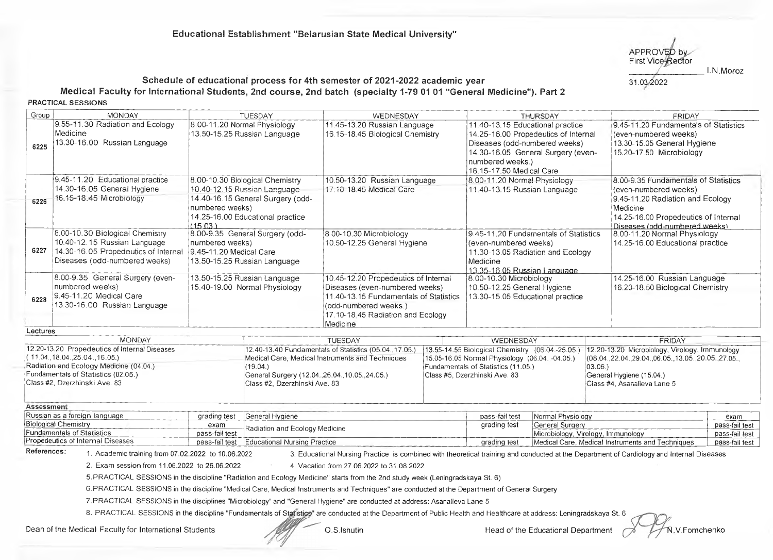APPROVED by **First Vice-Rector** */* 31.03 2022 I.N. Moroz

## **Schedule of educational process for 4th semester of 2021-2022 academic year Medical Faculty for International Students, 2nd course, 2nd batch (specialty 1-79 01 01 "General Medicine"). Part 2 PRACTICAL SESSIONS**

Group MONDAY TUESDAY WEDNESDAY THURSDAY FRIDAY 9.55-11.30 Radiation and Ecology 8.00-11.20 Normal Physiology 9.45-11.20 Fundamentals of Statistics 11.45-13.20 Russian Language 11.40-13.15 Educational practice Medicine 13.50-15.25 Russian Language 16.15-18.45 Biological Chemistry 14.25-16.00 Propedeutics of internal (even-numbered weeks) 13.30-16.00 Russian Language Diseases (odd-numbered weeks) 13.30-15.05 General Hygiene 6225 14.30-16.05 Genera! Surgery (even-15.20-17.50 Microbiology numbered weeks.) 16.15-17.50 Medical Care 8.00-9.35 Fundamentals of Statistics 9.45-11.20 Educational practice 8.00-10.30 Biological Chemistry 10.50-13.20 Russian Language 8.00-11.20 Norma! Physiology 14.30-16.05 General Hygiene 10.40-12.15 Russian Language 47.tO-T8.45 Medical Care 11.40-13.15 Russian Language (even-numbered weeks) 16.15-18.45 Microbiology 14.40- 16.15 General Surgery (odd-9.45-11.20 Radiation and Ecology 6226 numbered weeks) **Medicine** 14.25-16.00 Educational practice 14.25-16.00 Propedeutics of Internal  $(15.03)$ Diseases (odd-numbered weeks) 8.00-10.30 Biological Chemistry 8.00-9.35 General Surgery (odd-8.00-11.20 Normal Physiology 8.00-10.30 Microbiology 9.45-11.20 Fundamentals of Statistics 10.40-12.15 Russian Language 10.50-12.25 General Hygiene numbered weeks) (even-numbered weeks) 14.25-16.00 Educational practice 6227 11.30-13.05 Radiation and Ecology 14.30-16.05 Propedeutics of Internal 9.45-11.20 Medical Care Diseases (odd-numbered weeks) 13.50-15.25 Russian Language **Medicine** 13.35-16.05 Russian I anauaae 8.00-9.35 General Surgery (even-13.50-15.25 Russian Language 10.45-12.20 Propedeutics of Internal 14.25-16.00 Russian Language 8.00-10.30 Microbiology numbered weeks) 15.40-19.00 Normal Physiology Diseases (even-numbered weeks) 10.50-12.25 General Hygiene 16.20-18.50 Biological Chemistry 9.45-11.20 Medical Care 11.40-13.15 Fundamentals of Statistics 13.30-15.05 Educational practice 6228 13.30-16.00 Russian Language (odd-numbered weeks.) 17.10-18 45 Radiation and Ecology Medicine **Lectures** MONDAY TUESDAY | WEDNESDAY FRIDAY 12.20-13.20 Propedeutics of Internal Diseases 12.40-13.40 Fundamentals of Statistics (05.04.,17.05.)\_\_ 13.55-14.55 Biological Chemistry (06.04.-25.05.) 12.20-13.20 Microbiology, Virology, Immunology ( 11.04.,18.04.,25.04.,16.05.) Medical Care, Medical Instruments and Techniques 15.05-16.05 Normal Physiology (06.04.-04.05.) (08.04.,22.04. ,29.04.,06.05., 13.05.,20.05. ,27.05., Radiation and Ecology Medicine (04.04.) (19.04.) Fundamentals of Statistics (11.05.) 03.06.) Fundamentals of Statistics (02.05.) General Surgery (12.04.,26.04.,10.05.,24.05.) Class #5, Dzerzhinski Ave. 83 Genera! Hygiene (15.04.) Class #2, Dzerzhinski Ave. 83 Class #2, Dzerzhinski Ave. 83 Class #4, Asanalieva Lane 5  $\mathcal{L}$  , where the contract of the contract of the contract of the contract of the contract of the contract of the contract of the contract of the contract of the contract of the contract of the contract of the contract **Assessment** Russian as a foreign language exame and a grading test General Hygiene pass-fail test Normal Physiology exame exame exame exame exame exame exame exame exame exame exame exame exame exame exame exame exame exame exame exam Biological Chemistry **exam Radiation and Ecology Medicine** grading test General Surgery pass-fail test **Radiation**<br>Eugeneeral of Statistics Exam Pass-fail test Radiation and Ecology Medicine<br>
Fundamentals of Statistics pass-fail test pass-fail test Educational Nursing Practice Microbiology, Virology, Immunology Microbiology, Virology, Immunology Pass-fail test

References: 1. Academic training from 07.02.2022 to 10.06.2022 3. Educational Nursing Practice is combined with theoretical training and conducted at the Department of Cardiology and Internal Diseases

2. Exam session from 11.06.2022 to 26.06.2022 4. Vacation from 27.06.2022 to 31.08.2022

5. PRACTICAL SESSIONS in the discipline "Radiation and Ecology Medicine" starts from the 2nd study week (Leningradskaya St. 6)

6. PRACTICAL SESSIONS in the discipline "Medical Care, Medical Instruments and Techniques" are conducted at the Department of General Surgery

7. PRACTICAL SESSIONS in the disciplines "Microbiology" and "General Hygiene" are conducted at address: Asanalieva Lane 5

8. PRACTICAL SESSIONS in the discipline "Fundamentals of Statistics" are conducted at the Department of Public Health and Healthcare at address: Leningradskaya St. 6

Dean of the Medical Faculty for International Students **O.S.Ishutin** O.S.Ishutin Head of the Educational Department A LAN.V.Fomchenko

**IMedical Care, Medical Instruments and Techniques pass-fail test Practice grading Practice grading test Medical Instruments and Techniques**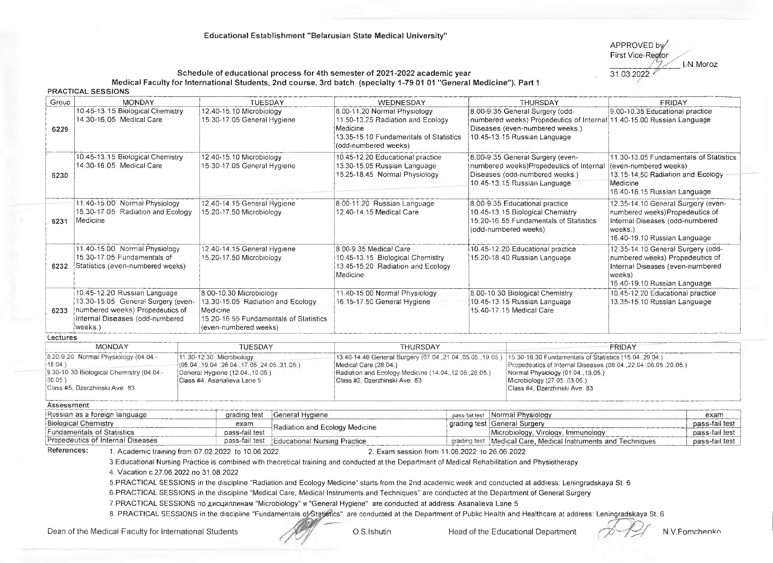## **Educational Establishment "Belarusian State Medical University"**

APPROVED by First Vice-Regtor  $\frac{7}{31.03.2022}$  I.N Moroz

# Schedule of educational process for 4th semester of 2021-2022 academic year

Medical Faculty for International Students, 2nd course, 3rd batch (specialty 1-79 01 01 "General Medicine"). Part 1

**PRACTICAL SESSIONS**

| Group                                                                                                                                                       | <b>MONDAY</b>                                                                                                     |                                                                 | TUESDAY                                                                                                                                     |                                | WEDNESDAY                                                                                                                                                                                                                                                                                                                      |  |                                                                                                                                                    | THURSDAY                                                                                                                                                                                                                             | <b>FRIDAY</b>                                                                                                                                      |                                  |
|-------------------------------------------------------------------------------------------------------------------------------------------------------------|-------------------------------------------------------------------------------------------------------------------|-----------------------------------------------------------------|---------------------------------------------------------------------------------------------------------------------------------------------|--------------------------------|--------------------------------------------------------------------------------------------------------------------------------------------------------------------------------------------------------------------------------------------------------------------------------------------------------------------------------|--|----------------------------------------------------------------------------------------------------------------------------------------------------|--------------------------------------------------------------------------------------------------------------------------------------------------------------------------------------------------------------------------------------|----------------------------------------------------------------------------------------------------------------------------------------------------|----------------------------------|
| 6229                                                                                                                                                        | 10.45-13.15 Biological Chemistry<br>14.30-16.05 Medical Care                                                      |                                                                 | 12.40-15.10 Microbiology<br>15.30-17.05 General Hygiene                                                                                     |                                | 8.00-9.35 General Surgery (odd-<br>8.00-11.20 Normal Physiology<br>11.50-13.25 Radiation and Ecology<br>numbered weeks) Propedeutics of Internal 11.40-15.00 Russian Language<br>Diseases (even-numbered weeks.)<br>Medicine<br>10.45-13.15 Russian Language<br>13.35-15.10 Fundamentals of Statistics<br>(odd-numbered weeks) |  |                                                                                                                                                    | 9.00-10.35 Educational practice                                                                                                                                                                                                      |                                                                                                                                                    |                                  |
| 10.45-13.15 Biological Chemistry<br>14.30-16.05 Medical Care<br>6230                                                                                        |                                                                                                                   |                                                                 | 12.40-15.10 Microbiology<br>15.30-17.05 General Hygiene                                                                                     |                                | 10.45-12.20 Educational practice<br>13.30-15.05 Russian Language<br>15.25-18.45 Normal Physiology                                                                                                                                                                                                                              |  |                                                                                                                                                    | 8.00-9.35 General Surgery (even-<br>numbered weeks)Propedeutics of Internal<br>Diseases (odd-numbered weeks.)<br>10.45-13.15 Russian Language                                                                                        | 11.30-13.05 Fundamentals of Statistics<br>(even-numbered weeks)<br>13.15-14.50 Radiation and Ecology<br>Medicine<br>16.40-18.15 Russian Language   |                                  |
| 11.40-15.00 Normal Physiology<br>15.30-17.05 Radiation and Ecology<br>Medicine<br>6231                                                                      |                                                                                                                   |                                                                 | 12.40-14.15 General Hygiene<br>15.20-17.50 Microbiology                                                                                     |                                | 8.00-11.20 Russian Language<br>8.00-9.35 Educational practice<br>12.40-14.15 Medical Care<br>10.45-13.15 Biological Chemistry<br>15.20-16.55 Fundamentals of Statistics<br>(odd-numbered weeks)                                                                                                                                |  | 12.35-14.10 General Surgery (even-<br>numbered weeks)Propedeutics of<br>Internal Diseases (odd-numbered<br>weeks.)<br>16.40-19.10 Russian Language |                                                                                                                                                                                                                                      |                                                                                                                                                    |                                  |
| 6232                                                                                                                                                        | 11.40-15.00 Normal Physiology<br>15.30-17.05 Fundamentals of<br>Statistics (even-numbered weeks)                  |                                                                 | 12.40-14.15 General Hygiene<br>15.20-17.50 Microbiology                                                                                     |                                | 8.00-9.35 Medical Care<br>10.45-13.15 Biological Chemistry<br>13.45-15.20 Radiation and Ecology<br>Medicine                                                                                                                                                                                                                    |  | 10.45-12.20 Educational practice<br>15.20-18.40 Russian Language                                                                                   |                                                                                                                                                                                                                                      | 12.35-14.10 General Surgery (odd-<br>numbered weeks) Propedeutics of<br>Internal Diseases (even-numbered<br>weeks)<br>16.40-19.10 Russian Language |                                  |
| 10.45-12.20 Russian Language<br>13.30-15.05 General Surgery (even-<br>numbered weeks) Propedeutics of<br>6233<br>Internal Diseases (odd-numbered<br>weeks.) |                                                                                                                   |                                                                 | 8.00-10.30 Microbiology<br>13.30-15.05 Radiation and Ecology<br>Medicine<br>15.20-16.55 Fundamentals of Statistics<br>(even-numbered weeks) |                                | 11.40-15.00 Normal Physiology<br>16.15-17.50 General Hygiene                                                                                                                                                                                                                                                                   |  | 8.00-10.30 Biological Chemistry<br>10.45-13.15 Russian Language<br>15.40-17.15 Medical Care                                                        |                                                                                                                                                                                                                                      | 10.45-12.20 Educational practice<br>13.35-15.10 Russian Language                                                                                   |                                  |
| Lectures                                                                                                                                                    |                                                                                                                   |                                                                 |                                                                                                                                             |                                |                                                                                                                                                                                                                                                                                                                                |  |                                                                                                                                                    |                                                                                                                                                                                                                                      |                                                                                                                                                    |                                  |
|                                                                                                                                                             | <b>MONDAY</b>                                                                                                     |                                                                 | <b>TUESDAY</b>                                                                                                                              |                                | <b>THURSDAY</b>                                                                                                                                                                                                                                                                                                                |  |                                                                                                                                                    |                                                                                                                                                                                                                                      | <b>FRIDAY</b>                                                                                                                                      |                                  |
| $18.04.$ )<br>30.05.                                                                                                                                        | 8.20-9.20 Normal Physiology (04.04.-<br>9 30-10.30 Biological Chemistry (04.04.-<br>Class #5, Dzerzhinski Ave. 83 |                                                                 | 11.30-12.30 Microbiology<br>$(05.04.19.04.26.04.17.05.24.05.31.05.)$<br>General Hygiene (12.04., 10.05.)<br>Class #4, Asanalieva Lane 5     |                                | 13.40-14.40 General Surgery (07.04., 21.04., 05.05., 19.05.)<br>Medical Care (28.04.)<br>Radiation and Ecology Medicine (14.04., 12.05., 26.05.)<br>Class #2, Dzerzhinski Ave. 83                                                                                                                                              |  |                                                                                                                                                    | 15.30-16.30 Fundamentals of Statistics (15.04. 29.04.)<br>Propedeutics of Internal Diseases (08.04., 22.04., 06.05., 20.05.)<br>Normal Physiology (01.04., 13.05.)<br>Microbiology (27.05., 03.06.)<br>Class #4, Dzerzhinski Ave. 83 |                                                                                                                                                    |                                  |
| Assessment                                                                                                                                                  |                                                                                                                   |                                                                 |                                                                                                                                             |                                |                                                                                                                                                                                                                                                                                                                                |  |                                                                                                                                                    |                                                                                                                                                                                                                                      |                                                                                                                                                    |                                  |
|                                                                                                                                                             | Russian as a foreign language<br><b>Biological Chemistry</b>                                                      |                                                                 | grading test                                                                                                                                | General Hygiene                | pass-fail test                                                                                                                                                                                                                                                                                                                 |  |                                                                                                                                                    | Normal Physiology                                                                                                                                                                                                                    |                                                                                                                                                    | exam                             |
|                                                                                                                                                             | <b>Fundamentals of Statistics</b>                                                                                 |                                                                 | exam<br>pass-fail test                                                                                                                      | Radiation and Ecology Medicine |                                                                                                                                                                                                                                                                                                                                |  |                                                                                                                                                    | grading test General Surgery<br>Microbiology, Virology, Immunology                                                                                                                                                                   |                                                                                                                                                    | pass-fail test<br>pass-fail test |
| Propedeutics of Internal Diseases<br>pass-fail test   Educational Nursing Practice                                                                          |                                                                                                                   | grading test   Medical Care, Medical Instruments and Techniques |                                                                                                                                             |                                | pass-fail test                                                                                                                                                                                                                                                                                                                 |  |                                                                                                                                                    |                                                                                                                                                                                                                                      |                                                                                                                                                    |                                  |
| References:                                                                                                                                                 | 1. Academic training from 07.02.2022 to 10.06.2022<br>4. Vacation c 27.06.2022 no 31.08.2022                      |                                                                 |                                                                                                                                             |                                | 2. Exam session from 11.06.2022 to 26.06.2022<br>3. Educational Nursing Practice is combined with theoretical training and conducted at the Department of Medical Rehabilitation and Physiotherapy                                                                                                                             |  |                                                                                                                                                    |                                                                                                                                                                                                                                      |                                                                                                                                                    |                                  |
|                                                                                                                                                             |                                                                                                                   |                                                                 |                                                                                                                                             |                                | 5.PRACTICAL SESSIONS in the discipline "Radiation and Ecology Medicine" starts from the 2nd academic week and conducted at address: Leningradskaya St. 6                                                                                                                                                                       |  |                                                                                                                                                    |                                                                                                                                                                                                                                      |                                                                                                                                                    |                                  |
|                                                                                                                                                             |                                                                                                                   |                                                                 |                                                                                                                                             |                                | 6.PRACTICAL SESSIONS in the discipline "Medical Care, Medical Instruments and Techniques" are conducted at the Department of General Surgery                                                                                                                                                                                   |  |                                                                                                                                                    |                                                                                                                                                                                                                                      |                                                                                                                                                    |                                  |
|                                                                                                                                                             |                                                                                                                   |                                                                 |                                                                                                                                             |                                | 7. PRACTICAL SESSIONS по дисциплинам "Microbiology" и "General Hygiene" are conducted at address: Asanalieva Lane 5                                                                                                                                                                                                            |  |                                                                                                                                                    |                                                                                                                                                                                                                                      |                                                                                                                                                    |                                  |
|                                                                                                                                                             |                                                                                                                   |                                                                 |                                                                                                                                             |                                | 8. PRACTICAL SESSIONS in the discipline "Fundamentals of Statistics" are conducted at the Department of Public Health and Healthcare at address: Leningradskaya St. 6                                                                                                                                                          |  |                                                                                                                                                    |                                                                                                                                                                                                                                      |                                                                                                                                                    |                                  |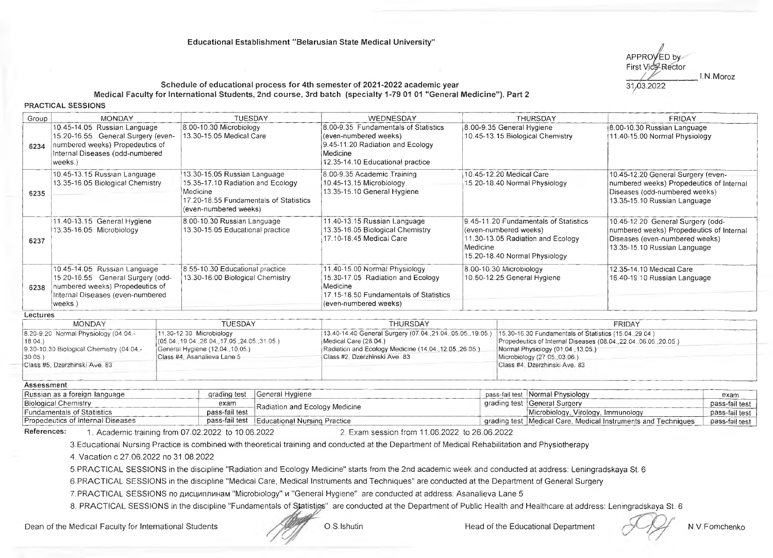

#### Schedule of educational process for 4th semester of 2021-2022 academic year Medical Faculty for International Students, 2nd course, 3rd batch (specialty 1-79 01 01 "General Medicine"). Part 2

**PRACTICAL SESSIONS**

| Group | <b>MONDAY</b>                                                                                                                                       | <b>TUESDAY</b>                                                                                                                                   | WEDNESDAY                                                                                                                                         | <b>THURSDAY</b>                                                                                                                                  | <b>FRIDAY</b>                                                                                                                                   |
|-------|-----------------------------------------------------------------------------------------------------------------------------------------------------|--------------------------------------------------------------------------------------------------------------------------------------------------|---------------------------------------------------------------------------------------------------------------------------------------------------|--------------------------------------------------------------------------------------------------------------------------------------------------|-------------------------------------------------------------------------------------------------------------------------------------------------|
| 6234  | 10.45-14.05 Russian Language<br>15.20-16.55 General Surgery (even-<br>numbered weeks) Propedeutics of<br>Internal Diseases (odd-numbered<br>weeks.) | 8.00-10.30 Microbiology<br>13.30-15.05 Medical Care                                                                                              | 8.00-9.35 Fundamentals of Statistics<br>(even-numbered weeks)<br>9.45-11.20 Radiation and Ecology<br>Medicine<br>12.35-14.10 Educational practice | 8.00-9.35 General Hygiene<br>10.45-13.15 Biological Chemistry                                                                                    | 8.00-10.30 Russian Language<br>11.40-15.00 Normal Physiology                                                                                    |
| 6235  | 10.45-13.15 Russian Language<br>13.35-16.05 Biological Chemistry                                                                                    | 13.30-15.05 Russian Language<br>15.35-17.10 Radiation and Ecology<br>Medicine<br>17.20-18.55 Fundamentals of Statistics<br>(even-numbered weeks) | 8.00-9.35 Academic Training<br>10.45-13.15 Microbiology<br>13.35-15.10 General Hygiene                                                            | 10.45-12.20 Medical Care<br>15.20-18.40 Normal Physiology                                                                                        | 10.45-12.20 General Surgery (even-<br>numbered weeks) Propedeutics of Internal<br>Diseases (odd-numbered weeks)<br>13.35-15.10 Russian Language |
| 6237  | 11.40-13.15 General Hygiene<br>13.35-16.05 Microbiology                                                                                             | 8.00-10.30 Russian Language<br>13.30-15.05 Educational practice                                                                                  | 11.40-13.15 Russian Language<br>13.35-16.05 Biological Chemistry<br>17.10-18.45 Medical Care                                                      | 9.45-11.20 Fundamentals of Statistics<br>(even-numbered weeks)<br>11.30-13.05 Radiation and Ecology<br>Medicine<br>15.20-18.40 Normal Physiology | 10.45-12.20 General Surgery (odd-<br>numbered weeks) Propedeutics of Internal<br>Diseases (even-numbered weeks)<br>13.35-15.10 Russian Language |
| 6238  | 10.45-14.05 Russian Language<br>15.20-16.55 General Surgery (odd-<br>numbered weeks) Propedeutics of<br>Internal Diseases (even-numbered<br>weeks.) | 8.55-10.30 Educational practice<br>13.30-16.00 Biological Chemistry                                                                              | 11.40-15.00 Normal Physiology<br>15.30-17.05 Radiation and Ecology<br>Medicine<br>17.15-18.50 Fundamentals of Statistics<br>(even-numbered weeks) | 8.00-10.30 Microbiology<br>10.50-12.25 General Hygiene                                                                                           | 12.35-14.10 Medical Care<br>16.40-19.10 Russian Language                                                                                        |

#### **Lectures**

| <b>MONDAY</b>                               | TUESDAY                                      | THURSDAY                                                                                                                     | <b>FRIDAY</b>                                                      |
|---------------------------------------------|----------------------------------------------|------------------------------------------------------------------------------------------------------------------------------|--------------------------------------------------------------------|
| $18.20 - 9.20$ Normal Physiology $(04.04 -$ | $11.30 - 12.30$ Microbiology                 | (15.04.29.04.) [13.40-14.40 General Surgery (07.04.21.04.05.05.19.05) [15.30-16.30 Fundamentals of Statistics (15.04.29.04.) |                                                                    |
| $ 18.04\rangle$                             | $(05.04, 19.04, 26.04, 17.05, 24.05, 31.05)$ | Medical Care (28.04.)                                                                                                        | Propedeutics of Internal Diseases (08.04., 22.04., 06.05., 20.05.) |
| 9.30-10.30 Biological Chemistry (04.04 -    | General Hygiene (12.04., 10.05.)             | Radiation and Ecology Medicine (14.04., 12.05., 26.05.)                                                                      | Normal Physiology (01.04., 13.05.)                                 |
| 130.05.                                     | Class #4, Asanalieva Lane 5                  | Class #2, Dzerzhinski Ave, 83                                                                                                | Microbiology (27.05.,03.06.)                                       |
| Class #5, Dzerzhinski Ave, 83               |                                              |                                                                                                                              | Class #4, Dzerzhinski Ave. 83                                      |
|                                             |                                              |                                                                                                                              |                                                                    |

#### **Assessment**

| -----------------                              |                |                                               |                                                                |                |
|------------------------------------------------|----------------|-----------------------------------------------|----------------------------------------------------------------|----------------|
| <b>Russian as a foreign language</b>           |                | grading test i General Hygiene                | pass-fail test Normal Physiology                               | exam           |
| Biological Chemistry                           | exam           | ├Radiation and Ecology Medicine               | grading test   General Surgery                                 | pass-fail test |
| <b>Fundamentals of Statistics</b>              | pass-fail test |                                               | Microbiology, Virology, Immunology                             | pass-fail test |
| <sup>1</sup> Propedeutics of Internal Diseases |                | pass-fail test   Educational Nursing Practice | grading test [Medical Care, Medical Instruments and Techniques | pass-fail test |
|                                                |                |                                               |                                                                |                |

References: 1. Academic training from 07.02.2022 to 10.06.2022 2. Exam session from 11.06.2022 to 26.06.2022

3. Educational Nursing Practice is combined with theoretical training and conducted at the Department of Medical Rehabilitation and Physiotherapy

4. V acation c 27.06.2022 no 31.08.2022

5 . P R A C TIC A L SESSIONS in the discipline "Radiation and Ecology Medicine" starts from the 2nd academic week and conducted at address: Leningradskaya St. 6

6. PRACTICAL SESSIONS in the discipline "Medical Care, Medical Instruments and Techniques" are conducted at the Department of General Surgery

7. PRACTICAL SESSIONS по дисциплинам "Microbiology" и "General Hygiene" are conducted at address: Asanalieva Lane 5

8. PRACTICAL SESSIONS in the discipline "Fundamentals of Statistics" are conducted at the Department of Public Health and Healthcare at address: Leningradskaya St. 6